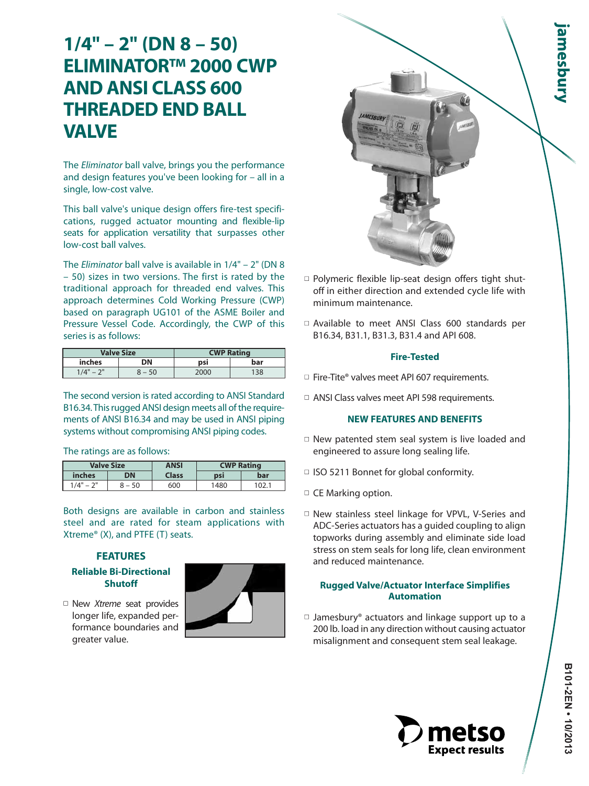# **1/4" – 2" (DN 8 – 50) ELIMINATOR™ 2000 CWP AND ANSI CLASS 600 THREADED END BALL VALVE**

The Eliminator ball valve, brings you the performance and design features you've been looking for – all in a single, low-cost valve.

This ball valve's unique design offers fire-test specifications, rugged actuator mounting and flexible-lip seats for application versatility that surpasses other low-cost ball valves.

The Eliminator ball valve is available in 1/4" – 2" (DN 8 – 50) sizes in two versions. The first is rated by the traditional approach for threaded end valves. This approach determines Cold Working Pressure (CWP) based on paragraph UG101 of the ASME Boiler and Pressure Vessel Code. Accordingly, the CWP of this series is as follows:

|                                           | Valve Size | <b>CWP Rating</b> |     |  |  |  |  |
|-------------------------------------------|------------|-------------------|-----|--|--|--|--|
| inches                                    | DΝ         | bar<br>psi        |     |  |  |  |  |
| $\bigcap$<br>$\mathcal{A}^{\prime\prime}$ | $-50$      | 2000              | 138 |  |  |  |  |

The second version is rated according to ANSI Standard B16.34. This rugged ANSI design meets all of the requirements of ANSI B16.34 and may be used in ANSI piping systems without compromising ANSI piping codes.

The ratings are as follows:

|              | <b>Valve Size</b> | <b>ANSI</b> | <b>CWP Rating</b> |     |
|--------------|-------------------|-------------|-------------------|-----|
| inches       | ווכ               |             | DSI               | bar |
| יור<br>1/A'' | - 50              | 600         | 1480              |     |

Both designs are available in carbon and stainless steel and are rated for steam applications with Xtreme® (X), and PTFE (T) seats.

# **FEATURES**

# **Reliable Bi-Directional Shutoff**

□ New Xtreme seat provides longer life, expanded performance boundaries and greater value.





- □ Polymeric flexible lip-seat design offers tight shutoff in either direction and extended cycle life with minimum maintenance.
- □ Available to meet ANSI Class 600 standards per B16.34, B31.1, B31.3, B31.4 and API 608.

## **Fire-Tested**

- $\Box$  Fire-Tite® valves meet API 607 requirements.
- □ ANSI Class valves meet API 598 requirements.

# **NEW FEATURES AND BENEFITS**

- $\Box$  New patented stem seal system is live loaded and engineered to assure long sealing life.
- □ ISO 5211 Bonnet for global conformity.
- □ CE Marking option.
- □ New stainless steel linkage for VPVL, V-Series and ADC-Series actuators has a guided coupling to align topworks during assembly and eliminate side load stress on stem seals for long life, clean environment and reduced maintenance.

# **Rugged Valve/Actuator Interface Simplifies Automation**

 $\Box$  Jamesbury® actuators and linkage support up to a 200 lb. load in any direction without causing actuator misalignment and consequent stem seal leakage.

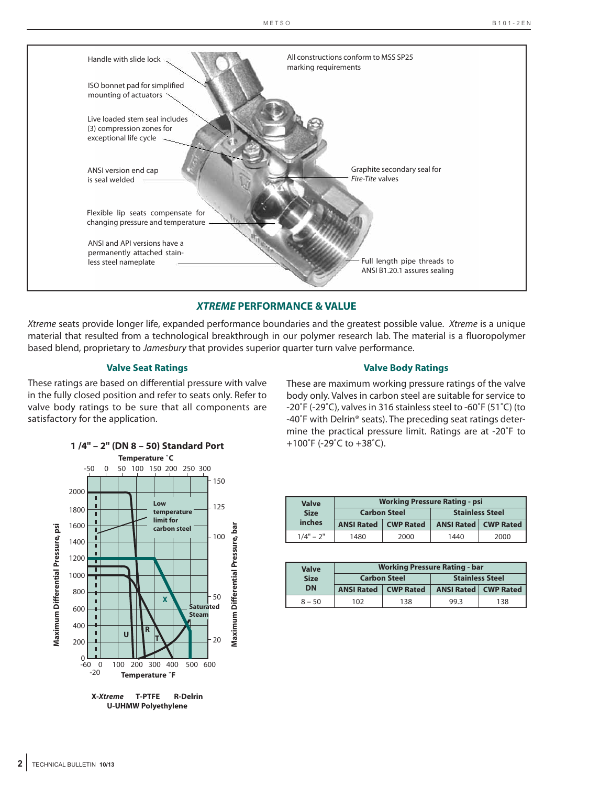

# *XTREME* **PERFORMANCE & VALUE**

Xtreme seats provide longer life, expanded performance boundaries and the greatest possible value. Xtreme is a unique material that resulted from a technological breakthrough in our polymer research lab. The material is a fluoropolymer based blend, proprietary to Jamesbury that provides superior quarter turn valve performance.

#### **Valve Seat Ratings**

These ratings are based on differential pressure with valve in the fully closed position and refer to seats only. Refer to valve body ratings to be sure that all components are satisfactory for the application.

#### **Valve Body Ratings**

These are maximum working pressure ratings of the valve body only. Valves in carbon steel are suitable for service to -20˚F (-29˚C), valves in 316 stainless steel to -60˚F (51˚C) (to -40˚F with Delrin® seats). The preceding seat ratings determine the practical pressure limit. Ratings are at -20˚F to +100˚F (-29˚C to +38˚C).



| <b>Valve</b> |                               | <b>Working Pressure Rating - psi</b> |                               |      |  |
|--------------|-------------------------------|--------------------------------------|-------------------------------|------|--|
| <b>Size</b>  | <b>Carbon Steel</b>           |                                      | <b>Stainless Steel</b>        |      |  |
| inches       | <b>ANSI Rated   CWP Rated</b> |                                      | <b>ANSI Rated   CWP Rated</b> |      |  |
| $1/4" - 2"$  | 1480                          | 2000                                 | 1440                          | 2000 |  |

| Valve<br><b>Size</b> |                               | <b>Working Pressure Rating - bar</b> |                        |                                 |  |  |  |  |  |  |  |
|----------------------|-------------------------------|--------------------------------------|------------------------|---------------------------------|--|--|--|--|--|--|--|
|                      |                               | <b>Carbon Steel</b>                  | <b>Stainless Steel</b> |                                 |  |  |  |  |  |  |  |
| DN                   | <b>ANSI Rated   CWP Rated</b> |                                      |                        | <b>ANSI Rated   CWP Rated  </b> |  |  |  |  |  |  |  |
| $8 - 50$             | 102                           | 138                                  | 99.3                   | 138                             |  |  |  |  |  |  |  |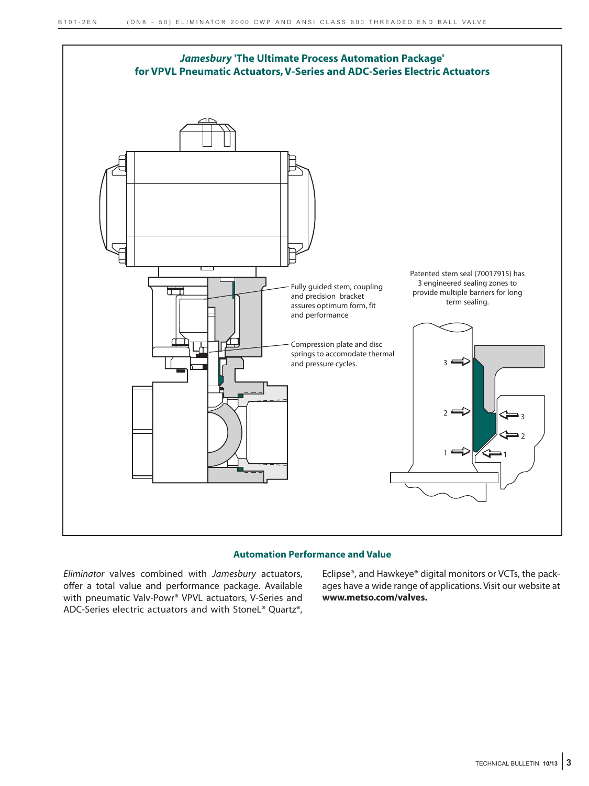

## **Automation Performance and Value**

Eliminator valves combined with Jamesbury actuators, offer a total value and performance package. Available with pneumatic Valv-Powr® VPVL actuators, V-Series and ADC-Series electric actuators and with StoneL® Quartz®, Eclipse®, and Hawkeye® digital monitors or VCTs, the packages have a wide range of applications. Visit our website at **www.metso.com/valves.**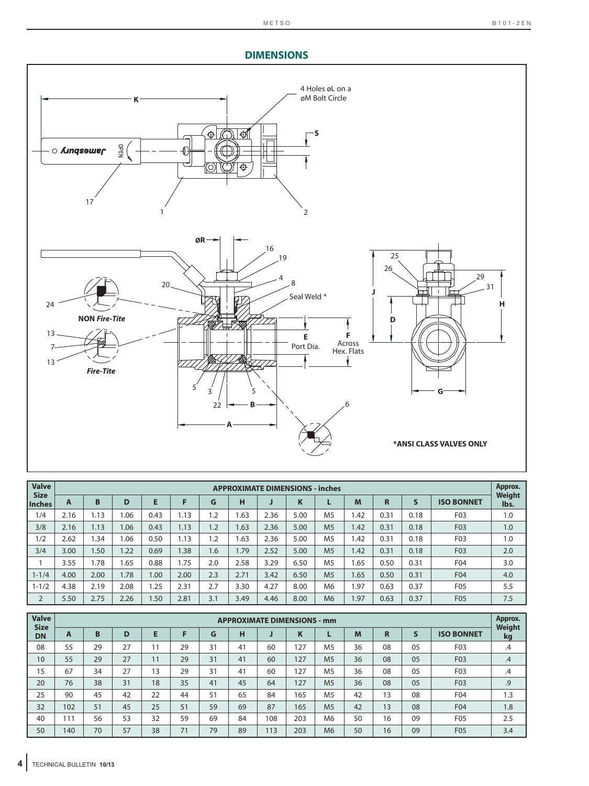# **DIMENSIONS**



| <b>Valve</b><br><b>Size</b> |      |      |      |      |      |     | <b>APPROXIMATE DIMENSIONS - inches</b> |      |      |                |             |      |      |                   | Approx.<br>Weight |
|-----------------------------|------|------|------|------|------|-----|----------------------------------------|------|------|----------------|-------------|------|------|-------------------|-------------------|
| <b>Inches</b>               | A    | B    | D    | Е    | F    | G   | н                                      |      | K    |                | M           | R    | S    | <b>ISO BONNET</b> | lbs.              |
| 1/4                         | 2.16 | 1.13 | 1.06 | 0.43 | 1.13 | 1.2 | .63                                    | 2.36 | 5.00 | M <sub>5</sub> | .42         | 0.31 | 0.18 | F <sub>0</sub> 3  | 1.0               |
| 3/8                         | 2.16 | 1.13 | 1.06 | 0.43 | 1.13 | 1.2 | 1.63                                   | 2.36 | 5.00 | M <sub>5</sub> | 1.42        | 0.31 | 0.18 | F03               | 1.0               |
| 1/2                         | 2.62 | .34  | 1.06 | 0.50 | 1.13 | 1.2 | .63                                    | 2.36 | 5.00 | M <sub>5</sub> | l.42        | 0.31 | 0.18 | F <sub>0</sub> 3  | 1.0               |
| 3/4                         | 3.00 | .50  | 1.22 | 0.69 | .38  | 1.6 | .79                                    | 2.52 | 5.00 | M <sub>5</sub> | 1.42        | 0.31 | 0.18 | F03               | 2.0               |
|                             | 3.55 | 1.78 | 1.65 | 0.88 | 1.75 | 2.0 | 2.58                                   | 3.29 | 6.50 | M <sub>5</sub> | .65         | 0.50 | 0.31 | F04               | 3.0               |
| $1 - 1/4$                   | 4.00 | 2.00 | 1.78 | 1.00 | 2.00 | 2.3 | 2.71                                   | 3.42 | 6.50 | M <sub>5</sub> | 1.65        | 0.50 | 0.31 | F04               | 4.0               |
| $1 - 1/2$                   | 4.38 | 2.19 | 2.08 | .25  | 2.31 | 2.7 | 3.30                                   | 4.27 | 8.00 | M <sub>6</sub> | .97         | 0.63 | 0.37 | F05               | 5.5               |
| $\overline{2}$              | 5.50 | 2.75 | 2.26 | .50  | 2.81 | 3.1 | 3.49                                   | 4.46 | 8.00 | M <sub>6</sub> | <b>1.97</b> | 0.63 | 0.37 | F <sub>05</sub>   | 7.5               |

| <b>Valve</b><br><b>Size</b> |     |    |    |    |    |    |    |     | <b>APPROXIMATE DIMENSIONS - mm</b> |                |    |    |    |                   | Approx.      |
|-----------------------------|-----|----|----|----|----|----|----|-----|------------------------------------|----------------|----|----|----|-------------------|--------------|
| <b>DN</b>                   | A   | B  | D  | E  | F  | G  | н  |     | <b>N</b>                           |                | M  | R  | S  | <b>ISO BONNET</b> | Weight<br>kg |
| 08                          | 55  | 29 | 27 | 11 | 29 | 31 | 41 | 60  | 127                                | M <sub>5</sub> | 36 | 08 | 05 | F03               | .4           |
| 10                          | 55  | 29 | 27 | 11 | 29 | 31 | 41 | 60  | 127                                | M <sub>5</sub> | 36 | 08 | 05 | F03               | .4           |
| 15                          | 67  | 34 | 27 | 13 | 29 | 31 | 41 | 60  | 127                                | M <sub>5</sub> | 36 | 08 | 05 | F03               | $.4\,$       |
| 20                          | 76  | 38 | 31 | 18 | 35 | 41 | 45 | 64  | 127                                | M <sub>5</sub> | 36 | 08 | 05 | F03               | .9           |
| 25                          | 90  | 45 | 42 | 22 | 44 | 51 | 65 | 84  | 165                                | M <sub>5</sub> | 42 | 13 | 08 | F04               | 1.3          |
| 32                          | 102 | 51 | 45 | 25 | 51 | 59 | 69 | 87  | 165                                | M <sub>5</sub> | 42 | 13 | 08 | F04               | 1.8          |
| 40                          | 111 | 56 | 53 | 32 | 59 | 69 | 84 | 108 | 203                                | M6             | 50 | 16 | 09 | F05               | 2.5          |
| 50                          | 140 | 70 | 57 | 38 | 71 | 79 | 89 | 113 | 203                                | M6             | 50 | 16 | 09 | F05               | 3.4          |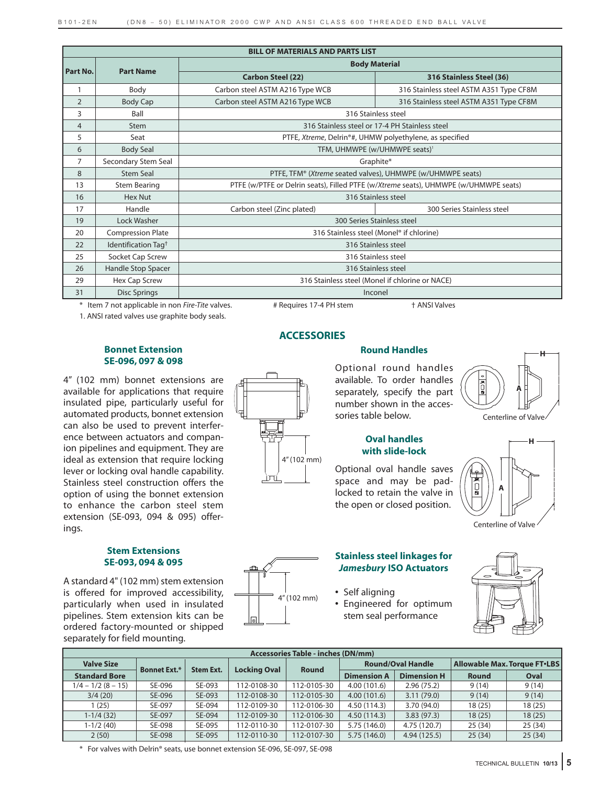|                 | <b>BILL OF MATERIALS AND PARTS LIST</b> |                                 |                                                                                      |  |  |  |  |  |  |  |  |
|-----------------|-----------------------------------------|---------------------------------|--------------------------------------------------------------------------------------|--|--|--|--|--|--|--|--|
|                 | <b>Part Name</b>                        |                                 | <b>Body Material</b>                                                                 |  |  |  |  |  |  |  |  |
| <b>Part No.</b> |                                         | <b>Carbon Steel (22)</b>        | 316 Stainless Steel (36)                                                             |  |  |  |  |  |  |  |  |
| $\mathbf{1}$    | Body                                    | Carbon steel ASTM A216 Type WCB | 316 Stainless steel ASTM A351 Type CF8M                                              |  |  |  |  |  |  |  |  |
| 2               | Body Cap                                | Carbon steel ASTM A216 Type WCB | 316 Stainless steel ASTM A351 Type CF8M                                              |  |  |  |  |  |  |  |  |
| 3               | Ball                                    |                                 | 316 Stainless steel                                                                  |  |  |  |  |  |  |  |  |
| $\overline{4}$  | Stem                                    |                                 | 316 Stainless steel or 17-4 PH Stainless steel                                       |  |  |  |  |  |  |  |  |
| 5               | Seat                                    |                                 | PTFE, Xtreme, Delrin®#, UHMW polyethylene, as specified                              |  |  |  |  |  |  |  |  |
| 6               | <b>Body Seal</b>                        |                                 | TFM, UHMWPE (w/UHMWPE seats) <sup>1</sup>                                            |  |  |  |  |  |  |  |  |
| 7               | Secondary Stem Seal                     |                                 | Graphite*                                                                            |  |  |  |  |  |  |  |  |
| 8               | <b>Stem Seal</b>                        |                                 | PTFE, TFM® (Xtreme seated valves), UHMWPE (w/UHMWPE seats)                           |  |  |  |  |  |  |  |  |
| 13              | <b>Stem Bearing</b>                     |                                 | PTFE (w/PTFE or Delrin seats), Filled PTFE (w/Xtreme seats), UHMWPE (w/UHMWPE seats) |  |  |  |  |  |  |  |  |
| 16              | <b>Hex Nut</b>                          |                                 | 316 Stainless steel                                                                  |  |  |  |  |  |  |  |  |
| 17              | Handle                                  | Carbon steel (Zinc plated)      | 300 Series Stainless steel                                                           |  |  |  |  |  |  |  |  |
| 19              | Lock Washer                             |                                 | 300 Series Stainless steel                                                           |  |  |  |  |  |  |  |  |
| 20              | <b>Compression Plate</b>                |                                 | 316 Stainless steel (Monel® if chlorine)                                             |  |  |  |  |  |  |  |  |
| 22              | Identification Tag <sup>+</sup>         |                                 | 316 Stainless steel                                                                  |  |  |  |  |  |  |  |  |
| 25              | Socket Cap Screw                        | 316 Stainless steel             |                                                                                      |  |  |  |  |  |  |  |  |
| 26              | Handle Stop Spacer                      | 316 Stainless steel             |                                                                                      |  |  |  |  |  |  |  |  |
| 29              | Hex Cap Screw                           |                                 | 316 Stainless steel (Monel if chlorine or NACE)                                      |  |  |  |  |  |  |  |  |
| 31              | <b>Disc Springs</b>                     |                                 | Inconel                                                                              |  |  |  |  |  |  |  |  |

\* Item 7 not applicable in non Fire-Tite valves. # Requires 17-4 PH stem  $+$  ANSI Valves

1. ANSI rated valves use graphite body seals.

### **Bonnet Extension SE-096, 097 & 098**

4" (102 mm) bonnet extensions are available for applications that require insulated pipe, particularly useful for automated products, bonnet extension can also be used to prevent interference between actuators and companion pipelines and equipment. They are ideal as extension that require locking lever or locking oval handle capability. Stainless steel construction offers the option of using the bonnet extension to enhance the carbon steel stem extension (SE-093, 094 & 095) offerings.

# **Stem Extensions SE-093, 094 & 095**

A standard 4" (102 mm) stem extension is offered for improved accessibility, particularly when used in insulated pipelines. Stem extension kits can be ordered factory-mounted or shipped separately for field mounting.

# **ACCESSORIES**

4" (102 mm)

# **Round Handles**

Optional round handles available. To order handles separately, specify the part number shown in the accessories table below.

# **Oval handles with slide-lock**

Optional oval handle saves space and may be padlocked to retain the valve in the open or closed position.









# **Stainless steel linkages for** *Jamesbury* **ISO Actuators**

- **•** Self aligning
- **•** Engineered for optimum stem seal performance



|                      | <b>Accessories Table - inches (DN/mm)</b> |                  |                     |              |                    |                          |                                     |         |  |  |  |  |  |  |
|----------------------|-------------------------------------------|------------------|---------------------|--------------|--------------------|--------------------------|-------------------------------------|---------|--|--|--|--|--|--|
| <b>Valve Size</b>    | <b>Bonnet Ext.*</b>                       | <b>Stem Ext.</b> | <b>Locking Oval</b> | <b>Round</b> |                    | <b>Round/Oval Handle</b> | <b>Allowable Max. Torque FT.LBS</b> |         |  |  |  |  |  |  |
| <b>Standard Bore</b> |                                           |                  |                     |              | <b>Dimension A</b> | <b>Dimension H</b>       | <b>Round</b>                        | Oval    |  |  |  |  |  |  |
| $1/4 - 1/2 (8 - 15)$ | SE-096                                    | SE-093           | 112-0108-30         | 112-0105-30  | 4.00(101.6)        | 2.96(75.2)               | 9(14)                               | 9(14)   |  |  |  |  |  |  |
| 3/4(20)              | SE-096                                    | SE-093           | 112-0108-30         | 112-0105-30  | 4.00(101.6)        | 3.11(79.0)               | 9(14)                               | 9(14)   |  |  |  |  |  |  |
| l (25)               | SE-097                                    | SE-094           | 112-0109-30         | 112-0106-30  | 4.50 (114.3)       | 3.70 (94.0)              | 18(25)                              | 18 (25) |  |  |  |  |  |  |
| $1-1/4(32)$          | SE-097                                    | SE-094           | 112-0109-30         | 112-0106-30  | 4.50(114.3)        | 3.83(97.3)               | 18(25)                              | 18(25)  |  |  |  |  |  |  |
| $1-1/2(40)$          | SE-098                                    | SE-095           | 112-0110-30         | 112-0107-30  | 5.75 (146.0)       | 4.75 (120.7)             | 25(34)                              | 25(34)  |  |  |  |  |  |  |
| 2(50)                | SE-098                                    | SE-095           | 112-0110-30         | 112-0107-30  | 5.75(146.0)        | 4.94 (125.5)             | 25(34)                              | 25(34)  |  |  |  |  |  |  |

\* For valves with Delrin® seats, use bonnet extension SE-096, SE-097, SE-098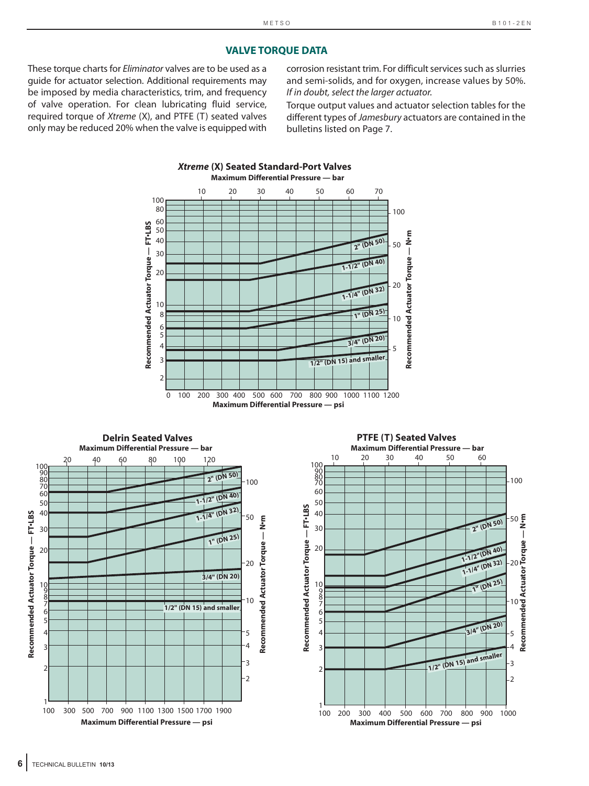# **VALVE TORQUE DATA**

These torque charts for Eliminator valves are to be used as a guide for actuator selection. Additional requirements may be imposed by media characteristics, trim, and frequency of valve operation. For clean lubricating fluid service, required torque of Xtreme (X), and PTFE (T) seated valves only may be reduced 20% when the valve is equipped with

corrosion resistant trim. For difficult services such as slurries and semi-solids, and for oxygen, increase values by 50%. If in doubt, select the larger actuator.

Torque output values and actuator selection tables for the different types of Jamesbury actuators are contained in the bulletins listed on Page 7.



# **6** TECHNICAL BULLETIN **10/13**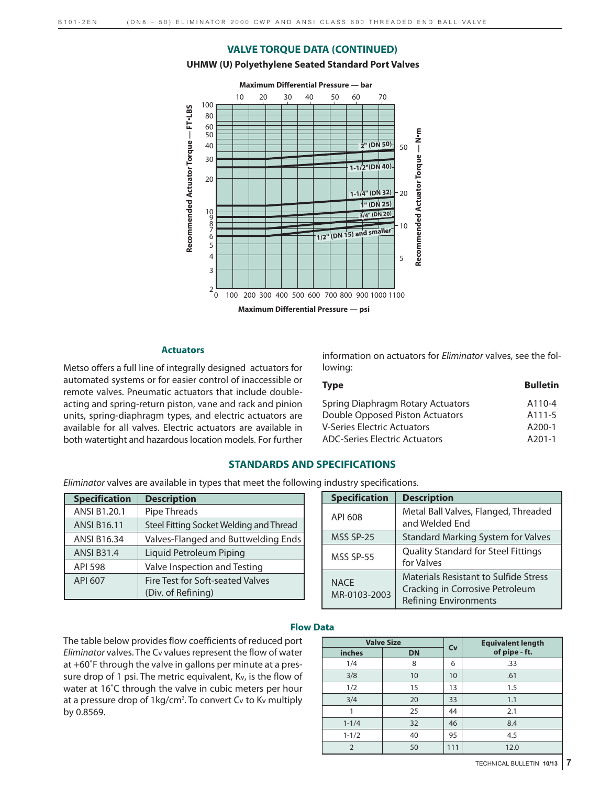#### **VALVE TORQUE DATA (CONTINUED)**

#### **UHMW (U) Polyethylene Seated Standard Port Valves**



#### **Actuators**

Metso offers a full line of integrally designed actuators for automated systems or for easier control of inaccessible or remote valves. Pneumatic actuators that include doubleacting and spring-return piston, vane and rack and pinion units, spring-diaphragm types, and electric actuators are available for all valves. Electric actuators are available in both watertight and hazardous location models. For further information on actuators for Eliminator valves, see the following:

| <b>Type</b>                          | <b>Bulletin</b> |
|--------------------------------------|-----------------|
| Spring Diaphragm Rotary Actuators    | A110-4          |
| Double Opposed Piston Actuators      | A111-5          |
| V-Series Electric Actuators          | $A200-1$        |
| <b>ADC-Series Electric Actuators</b> | $A201-1$        |

## **STANDARDS AND SPECIFICATIONS**

Eliminator valves are available in types that meet the following industry specifications.

| <b>Specification</b> | <b>Description</b>                      |
|----------------------|-----------------------------------------|
| ANSI B1.20.1         | Pipe Threads                            |
| <b>ANSI B16.11</b>   | Steel Fitting Socket Welding and Thread |
| <b>ANSI B16.34</b>   | Valves-Flanged and Buttwelding Ends     |
| <b>ANSI B31.4</b>    | Liquid Petroleum Piping                 |
| <b>API 598</b>       | Valve Inspection and Testing            |
| API 607              | Fire Test for Soft-seated Valves        |
|                      | (Div. of Refining)                      |

| <b>Specification</b>        | <b>Description</b>                                                                                              |
|-----------------------------|-----------------------------------------------------------------------------------------------------------------|
| API 608                     | Metal Ball Valves, Flanged, Threaded<br>and Welded End                                                          |
| MSS SP-25                   | <b>Standard Marking System for Valves</b>                                                                       |
| MSS SP-55                   | <b>Quality Standard for Steel Fittings</b><br>for Valves                                                        |
| <b>NACE</b><br>MR-0103-2003 | <b>Materials Resistant to Sulfide Stress</b><br>Cracking in Corrosive Petroleum<br><b>Refining Environments</b> |

# **Flow Data**

The table below provides flow coefficients of reduced port Eliminator valves. The Cv values represent the flow of water at +60˚F through the valve in gallons per minute at a pressure drop of 1 psi. The metric equivalent, Kv, is the flow of water at 16˚C through the valve in cubic meters per hour at a pressure drop of 1kg/cm<sup>2</sup>. To convert Cv to Kv multiply by 0.8569.

|                | <b>Valve Size</b> | Cv  | <b>Equivalent length</b> |
|----------------|-------------------|-----|--------------------------|
| inches         | <b>DN</b>         |     | of pipe - ft.            |
| 1/4            | 8                 | 6   | .33                      |
| 3/8            | 10                | 10  | .61                      |
| 1/2            | 15                | 13  | 1.5                      |
| 3/4            | 20                | 33  | 1.1                      |
|                | 25                | 44  | 2.1                      |
| $1 - 1/4$      | 32                | 46  | 8.4                      |
| $1 - 1/2$      | 40                |     | 4.5                      |
| $\overline{2}$ | 50                | 111 | 12.0                     |